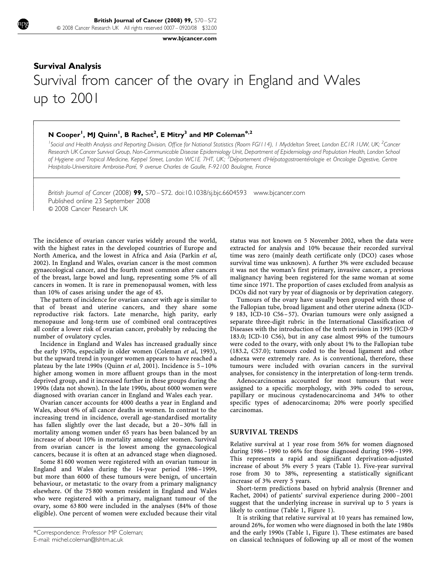[www.bjcancer.com](http://www.bjcancer.com)

# Survival Analysis Survival from cancer of the ovary in England and Wales up to 2001

## N Cooper<sup>1</sup>, MJ Quinn<sup>1</sup>, B Rachet<sup>2</sup>, E Mitry<sup>3</sup> and MP Coleman<sup>\*,2</sup>

 $\overline{1}$  $\overline{\phantom{a}}$  $\overline{\phantom{a}}$  $\overline{\phantom{a}}$  $\overline{\phantom{a}}$  $\overline{\phantom{a}}$  $\overline{\phantom{a}}$  $\overline{\phantom{a}}$  $\overline{\phantom{a}}$  $\overline{\phantom{a}}$  $\overline{\phantom{a}}$  $\overline{\phantom{a}}$  $\overline{\phantom{a}}$  $\overline{\phantom{a}}$ ł  $\overline{\phantom{a}}$  $\overline{\phantom{a}}$  $\overline{\phantom{a}}$  $\overline{\phantom{a}}$  $\overline{\phantom{a}}$  $\overline{\phantom{a}}$  $\overline{\phantom{a}}$ 

<sup>1</sup>Social and Health Analysis and Reporting Division, Office for National Statistics (Room FG/114), 1 Myddelton Street, London EC1R 1UW, UK; <sup>2</sup>Cancer Research UK Cancer Survival Group, Non-Communicable Disease Epidemiology Unit, Department of Epidemiology and Population Health, London School of Hygiene and Tropical Medicine, Keppel Street, London WCTE 7HT, UK; <sup>3</sup>Département d'Hépatogastroentérologie et Oncologie Digestive, Centre Hospitalo-Universitaire Ambroise-Paré, 9 avenue Charles de Gaulle, F-92100 Boulogne, France

British Journal of Cancer (2008) 99, S70 - S72. doi[:10.1038/sj.bjc.6604593](http://dx.doi.org/10.1038/sj.bjc.6604593) [www.bjcancer.com](http://www.bjcancer.com) Published online 23 September 2008 & 2008 Cancer Research UK

The incidence of ovarian cancer varies widely around the world, with the highest rates in the developed countries of Europe and North America, and the lowest in Africa and Asia ([Parkin](#page-2-0) et al, [2002\)](#page-2-0). In England and Wales, ovarian cancer is the most common gynaecological cancer, and the fourth most common after cancers of the breast, large bowel and lung, representing some 5% of all cancers in women. It is rare in premenopausal women, with less than 10% of cases arising under the age of 45.

The pattern of incidence for ovarian cancer with age is similar to that of breast and uterine cancers, and they share some reproductive risk factors. Late menarche, high parity, early menopause and long-term use of combined oral contraceptives all confer a lower risk of ovarian cancer, probably by reducing the number of ovulatory cycles.

Incidence in England and Wales has increased gradually since the early 1970s, especially in older women ([Coleman](#page-2-0) et al, 1993), but the upward trend in younger women appears to have reached a plateau by the late 1990s ([Quinn](#page-2-0) et al, 2001). Incidence is  $5-10\%$ higher among women in more affluent groups than in the most deprived group, and it increased further in these groups during the 1990s (data not shown). In the late 1990s, about 6000 women were diagnosed with ovarian cancer in England and Wales each year.

Ovarian cancer accounts for 4000 deaths a year in England and Wales, about 6% of all cancer deaths in women. In contrast to the increasing trend in incidence, overall age-standardised mortality has fallen slightly over the last decade, but a 20-30% fall in mortality among women under 65 years has been balanced by an increase of about 10% in mortality among older women. Survival from ovarian cancer is the lowest among the gynaecological cancers, because it is often at an advanced stage when diagnosed.

Some 81 600 women were registered with an ovarian tumour in England and Wales during the 14-year period 1986–1999, but more than 6000 of these tumours were benign, of uncertain behaviour, or metastatic to the ovary from a primary malignancy elsewhere. Of the 75 800 women resident in England and Wales who were registered with a primary, malignant tumour of the ovary, some 63 800 were included in the analyses (84% of those eligible). One percent of women were excluded because their vital status was not known on 5 November 2002, when the data were extracted for analysis and 10% because their recorded survival time was zero (mainly death certificate only (DCO) cases whose survival time was unknown). A further 3% were excluded because it was not the woman's first primary, invasive cancer, a previous malignancy having been registered for the same woman at some time since 1971. The proportion of cases excluded from analysis as DCOs did not vary by year of diagnosis or by deprivation category.

Tumours of the ovary have usually been grouped with those of the Fallopian tube, broad ligament and other uterine adnexa (ICD-9 183, ICD-10 C56– 57). Ovarian tumours were only assigned a separate three-digit rubric in the International Classification of Diseases with the introduction of the tenth revision in 1995 (ICD-9 183.0; ICD-10 C56), but in any case almost 99% of the tumours were coded to the ovary, with only about 1% to the Fallopian tube (183.2, C57.0); tumours coded to the broad ligament and other adnexa were extremely rare. As is conventional, therefore, these tumours were included with ovarian cancers in the survival analyses, for consistency in the interpretation of long-term trends.

Adenocarcinomas accounted for most tumours that were assigned to a specific morphology, with 39% coded to serous, papillary or mucinous cystadenocarcinoma and 34% to other specific types of adenocarcinoma; 20% were poorly specified carcinomas.

#### SURVIVAL TRENDS

Relative survival at 1 year rose from 56% for women diagnosed during 1986– 1990 to 66% for those diagnosed during 1996–1999. This represents a rapid and significant deprivation-adjusted increase of about 5% every 5 years [\(Table 1\)](#page-1-0). Five-year survival rose from 30 to 38%, representing a statistically significant increase of 3% every 5 years.

Short-term predictions based on hybrid analysis [\(Brenner and](#page-2-0) [Rachet, 2004\)](#page-2-0) of patients' survival experience during 2000–2001 suggest that the underlying increase in survival up to 5 years is likely to continue ([Table 1, Figure 1\)](#page-1-0).

It is striking that relative survival at 10 years has remained low, around 26%, for women who were diagnosed in both the late 1980s and the early 1990s [\(Table 1, Figure 1\)](#page-1-0). These estimates are based on classical techniques of following up all or most of the women

<sup>\*</sup>Correspondence: Professor MP Coleman; E-mail: [michel.coleman@lshtm.ac.uk](mailto:michel.coleman@lshtm.ac.uk)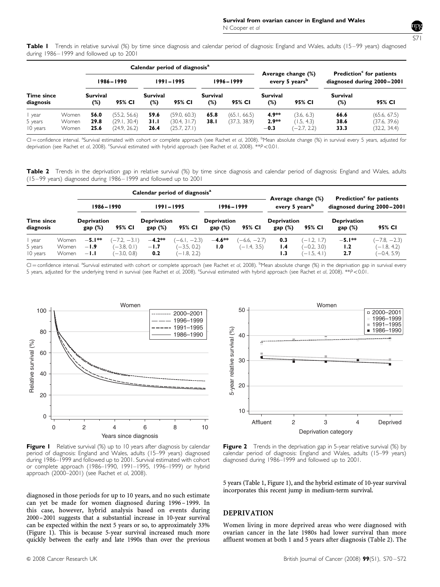<span id="page-1-0"></span>Table I Trends in relative survival (%) by time since diagnosis and calendar period of diagnosis: England and Wales, adults (15–99 years) diagnosed during 1986–1999 and followed up to 2001

|                                |                         | Calendar period of diagnosis <sup>a</sup> |                                              |                        |                                              |                        |                              |                                                  |                                           | Prediction <sup>c</sup> for patients |                                              |
|--------------------------------|-------------------------|-------------------------------------------|----------------------------------------------|------------------------|----------------------------------------------|------------------------|------------------------------|--------------------------------------------------|-------------------------------------------|--------------------------------------|----------------------------------------------|
|                                |                         | 1986-1990                                 |                                              | 1991-1995              |                                              | $1996 - 1999$          |                              | Average change (%)<br>every 5 years <sup>b</sup> |                                           | diagnosed during 2000-2001           |                                              |
| <b>Time since</b><br>diagnosis |                         | <b>Survival</b><br>$(\%)$                 | 95% CI                                       | <b>Survival</b><br>(%) | 95% CI                                       | <b>Survival</b><br>(%) | 95% CI                       | Survival<br>(%)                                  | 95% CI                                    | <b>Survival</b><br>$(\%)$            | 95% CI                                       |
| year<br>5 years<br>10 years    | Women<br>Women<br>Women | 56.0<br>29.8<br>25.6                      | (55.2, 56.6)<br>(29.1, 30.4)<br>(24.9, 26.2) | 59.6<br>31.1<br>26.4   | (59.0, 60.3)<br>(30.4, 31.7)<br>(25.7, 27.1) | 65.8<br>38.1           | (65.1, 66.5)<br>(37.3, 38.9) | $4.9**$<br>$2.9**$<br>$-0.3$                     | (3.6, 6.3)<br>(1.5, 4.3)<br>$(-2.7, 2.2)$ | 66.6<br>38.6<br>33.3                 | (65.6, 67.5)<br>(37.6, 39.6)<br>(32.2, 34.4) |

CI = confidence interval. <sup>a</sup>Survival estimated with cohort or complete approach (see [Rachet](#page-2-0) et al, 2008). <sup>b</sup>Mean absolute change (%) in survival every 5 years, adjusted for deprivation (see [Rachet](#page-2-0) et al, 2008). <sup>c</sup>Survival estimated with hybrid approach (see Rachet et al, 2008). \*\*P<0.01.

Table 2 Trends in the deprivation gap in relative survival (%) by time since diagnosis and calendar period of diagnosis: England and Wales, adults (15–99 years) diagnosed during 1986–1999 and followed up to 2001

|                                |                                |                              |                                                  | Calendar period of diagnosis <sup>a</sup> |                                                  | Average change (%)<br>every 5 years <sup>b</sup> |                                 | <b>Prediction</b> <sup>c</sup> for patients<br>diagnosed during 2000-2001 |                                                 |                              |                                                  |
|--------------------------------|--------------------------------|------------------------------|--------------------------------------------------|-------------------------------------------|--------------------------------------------------|--------------------------------------------------|---------------------------------|---------------------------------------------------------------------------|-------------------------------------------------|------------------------------|--------------------------------------------------|
|                                |                                | 1986–1990                    |                                                  | 1991–1995                                 |                                                  |                                                  |                                 |                                                                           |                                                 | 1996–1999                    |                                                  |
| <b>Time since</b><br>diagnosis |                                | <b>Deprivation</b><br>gap(%) | 95% CI                                           | <b>Deprivation</b><br>gap(%)              | 95% CI                                           | <b>Deprivation</b><br>gap(%)                     | 95% CI                          | <b>Deprivation</b><br>gap(%)<br>95% CI                                    |                                                 | <b>Deprivation</b><br>gap(%) | 95% CI                                           |
| year<br>5 years<br>10 years    | Women<br><b>Women</b><br>Women | $-5.1**$<br>$-1.9$<br>$-1.1$ | $(-7.2, -3.1)$<br>$(-3.8, 0.1)$<br>$(-3.0, 0.8)$ | $-4.2**$<br>$-1.7$<br>0.2                 | $(-6.1, -2.3)$<br>$(-3.5, 0.2)$<br>$(-1.8, 2.2)$ | $-4.6**$<br>1.0                                  | $(-6.6, -2.7)$<br>$(-1.4, 3.5)$ | 0.3<br>1.4<br>1.3                                                         | $(-1.2, 1.7)$<br>$(-0.2, 3.0)$<br>$(-1.5, 4.1)$ | $-5.1***$<br>1.2<br>2.7      | $(-7.8, -2.3)$<br>$(-1.8, 4.2)$<br>$(-0.4, 5.9)$ |

CI = confidence interval. <sup>a</sup>Survival estimated with cohort or complete approach (see [Rachet](#page-2-0) et al, 2008). <sup>b</sup>Mean absolute change (%) in the deprivation gap in survival every 5 years, adjusted for the underlying trend in survival (see [Rachet](#page-2-0) et al, 2008). "Survival estimated with hybrid approach (see Rachet et al, 2008). \*\*P<0.01.



Figure I Relative survival (%) up to 10 years after diagnosis by calendar period of diagnosis: England and Wales, adults (15–99 years) diagnosed during 1986–1999 and followed up to 2001. Survival estimated with cohort or complete approach (1986–1990, 1991–1995, 1996–1999) or hybrid approach (2000–2001) (see [Rachet](#page-2-0) et al, 2008).



**Figure 2** Trends in the deprivation gap in 5-year relative survival (%) by calendar period of diagnosis: England and Wales, adults (15–99 years) diagnosed during 1986–1999 and followed up to 2001.

5 years (Table 1, Figure 1), and the hybrid estimate of 10-year survival incorporates this recent jump in medium-term survival.

diagnosed in those periods for up to 10 years, and no such estimate can yet be made for women diagnosed during 1996–1999. In this case, however, hybrid analysis based on events during 2000–2001 suggests that a substantial increase in 10-year survival can be expected within the next 5 years or so, to approximately 33% (Figure 1). This is because 5-year survival increased much more quickly between the early and late 1990s than over the previous

### DEPRIVATION

Women living in more deprived areas who were diagnosed with ovarian cancer in the late 1980s had lower survival than more affluent women at both 1 and 5 years after diagnosis (Table 2). The